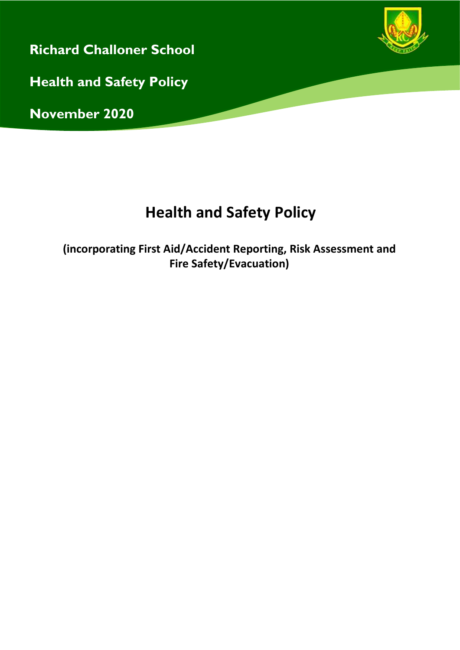

**(incorporating First Aid/Accident Reporting, Risk Assessment and Fire Safety/Evacuation)**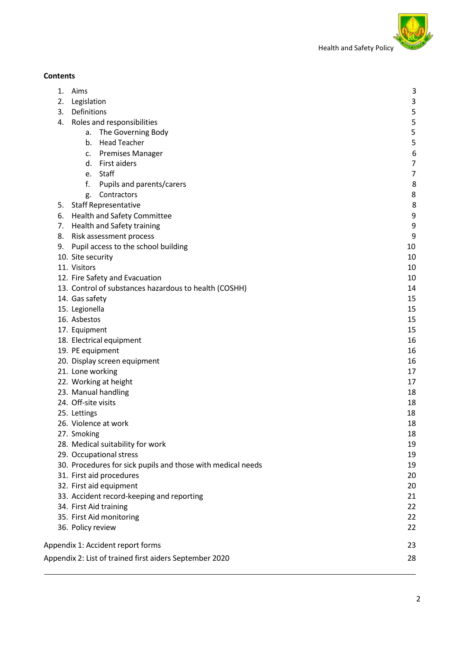

# **Contents**

| 1. | Aims                                                        | 3              |
|----|-------------------------------------------------------------|----------------|
| 2. | Legislation                                                 | 3              |
| 3. | Definitions                                                 | 5              |
| 4. | Roles and responsibilities                                  | 5              |
|    | The Governing Body<br>a.                                    | 5              |
|    | <b>Head Teacher</b><br>b.                                   | 5              |
|    | c. Premises Manager                                         | 6              |
|    | d. First aiders                                             | $\overline{7}$ |
|    | e. Staff                                                    | $\overline{7}$ |
|    | f.<br>Pupils and parents/carers                             | 8              |
|    | Contractors<br>g.                                           | 8              |
|    | 5. Staff Representative                                     | 8              |
|    | 6. Health and Safety Committee                              | 9              |
|    | 7. Health and Safety training                               | 9              |
| 8. | Risk assessment process                                     | 9              |
|    | 9. Pupil access to the school building                      | 10             |
|    | 10. Site security                                           | 10             |
|    | 11. Visitors                                                | 10             |
|    | 12. Fire Safety and Evacuation                              | 10             |
|    | 13. Control of substances hazardous to health (COSHH)       | 14             |
|    | 14. Gas safety                                              | 15             |
|    | 15. Legionella                                              | 15             |
|    | 16. Asbestos                                                | 15             |
|    | 17. Equipment                                               | 15             |
|    | 18. Electrical equipment                                    | 16             |
|    | 19. PE equipment                                            | 16             |
|    | 20. Display screen equipment                                | 16             |
|    | 21. Lone working                                            | 17             |
|    | 22. Working at height                                       | 17             |
|    | 23. Manual handling                                         | 18             |
|    | 24. Off-site visits                                         | 18             |
|    | 25. Lettings                                                | 18             |
|    | 26. Violence at work                                        | 18             |
|    | 27. Smoking                                                 | 18             |
|    | 28. Medical suitability for work                            | 19             |
|    | 29. Occupational stress                                     | 19             |
|    | 30. Procedures for sick pupils and those with medical needs | 19             |
|    | 31. First aid procedures                                    | 20             |
|    | 32. First aid equipment                                     | 20             |
|    | 33. Accident record-keeping and reporting                   | 21             |
|    | 34. First Aid training                                      | 22             |
|    | 35. First Aid monitoring                                    | 22             |
|    | 36. Policy review                                           | 22             |
|    | Appendix 1: Accident report forms                           | 23             |
|    | Appendix 2: List of trained first aiders September 2020     | 28             |
|    |                                                             |                |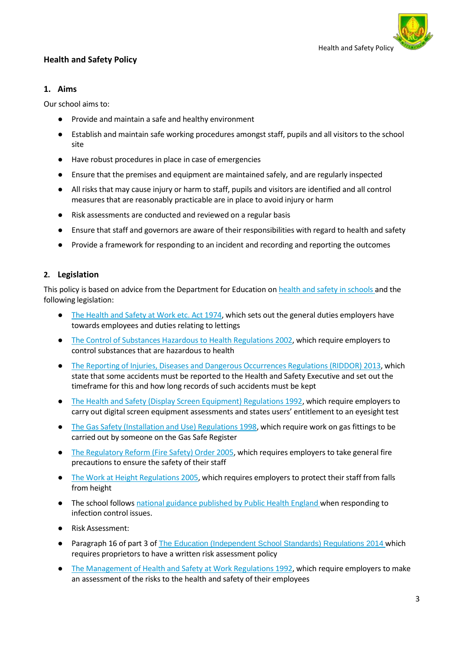

## <span id="page-2-0"></span>**1. Aims**

Our school aims to:

- Provide and maintain a safe and healthy environment
- Establish and maintain safe working procedures amongst staff, pupils and all visitors to the school site
- Have robust procedures in place in case of emergencies
- Ensure that the premises and equipment are maintained safely, and are regularly inspected
- All risks that may cause injury or harm to staff, pupils and visitors are identified and all control measures that are reasonably practicable are in place to avoid injury or harm
- Risk assessments are conducted and reviewed on a regular basis
- Ensure that staff and governors are aware of their responsibilities with regard to health and safety
- Provide a framework for responding to an incident and recording and reporting the outcomes

## <span id="page-2-1"></span>**2. Legislation**

This policy is based on advice from the Department for Education on health and safety in [schools a](https://www.gov.uk/government/publications/health-and-safety-advice-for-schools)nd the following legislation:

- The [Health](http://www.legislation.gov.uk/ukpga/1974/37) and Safety at Work etc. Act 1974, which sets out the general duties employers have towards employees and duties relating to lettings
- The Control of Substances Hazardous to Health [Regulations](http://www.legislation.gov.uk/uksi/2002/2677/contents/made) 2002, which require employers to control substances that are hazardous to health
- The Reporting of Injuries, Diseases and Dangerous [Occurrences](http://www.legislation.gov.uk/uksi/2013/1471/schedule/1/paragraph/1/made) Regulations (RIDDOR) 2013, which state that some accidents must be reported to the Health and Safety Executive and set out the timeframe for this and how long records of such accidents must be kept
- The Health and Safety (Display Screen [Equipment\)](http://www.legislation.gov.uk/uksi/1992/2792/contents/made) Regulations 1992, which require employers to carry out digital screen equipment assessments and states users' entitlement to an eyesight test
- The Gas Safety [\(Installation](http://www.legislation.gov.uk/uksi/1998/2451/regulation/4/made) and Use) Regulations 1998, which require work on gas fittings to be carried out by someone on the Gas Safe Register
- The [Regulatory](http://www.legislation.gov.uk/uksi/2005/1541/part/2/made) Reform (Fire Safety) Order 2005, which requires employers to take general fire precautions to ensure the safety of their staff
- The Work at Height [Regulations](http://www.legislation.gov.uk/uksi/2005/735/contents/made) 2005, which requires employers to protect their staff from falls from height
- The school follows national guidance [published](https://www.gov.uk/government/uploads/system/uploads/attachment_data/file/522337/Guidance_on_infection_control_in_schools.pdf) by Public Health England when responding to infection control issues.
- Risk Assessment:
- Paragraph 16 of part 3 of The Education [\(Independent](http://www.legislation.gov.uk/uksi/2014/3283/schedule/part/3/made) School Standards) Regulations 2014 which requires proprietors to have a written risk assessment policy
- The [Management](http://www.legislation.gov.uk/uksi/1992/2051/regulation/3/made) of Health and Safety at Work Regulations 1992, which require employers to make an assessment of the risks to the health and safety of their employees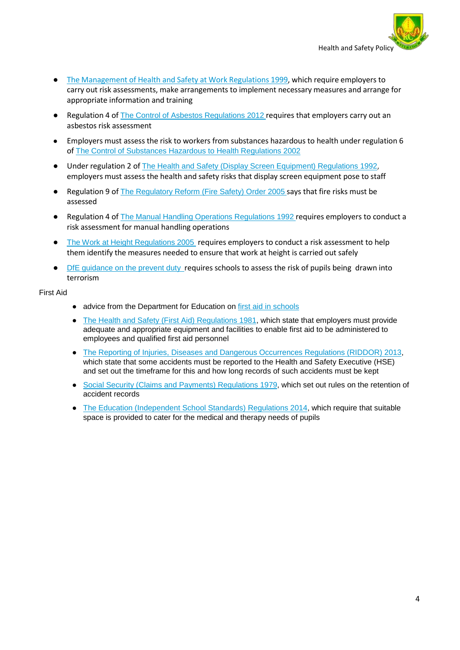

- The [Management](http://www.legislation.gov.uk/uksi/1999/3242/contents/made) of Health and Safety at Work Regulations 1999, which require employers to carry out risk assessments, make arrangements to implement necessary measures and arrange for appropriate information and training
- Regulation 4 of The Control of Asbestos [Regulations](http://www.legislation.gov.uk/uksi/2012/632/regulation/4/made) 2012 requires that employers carry out an asbestos risk assessment
- Employers must assess the risk to workers from substances hazardous to health under regulation 6 of The Control of Substances Hazardous to Health [Regulations](http://www.legislation.gov.uk/uksi/2002/2677/regulation/6/made) 2002
- Under regulation 2 of The Health and Safety (Display Screen Equipment) [Regulations](http://www.legislation.gov.uk/uksi/1992/2792/regulation/2/made) 1992, employers must assess the health and safety risks that display screen equipment pose to staff
- Regulation 9 of The [Regulatory](http://www.legislation.gov.uk/uksi/2005/1541/article/9/made) Reform (Fire Safety) Order 2005 says that fire risks must be assessed
- Regulation 4 of The Manual Handling Operations [Regulations](http://www.legislation.gov.uk/uksi/1992/2793/regulation/4/made) 1992 requires employers to conduct a risk assessment for manual handling operations
- The Work at Height [Regulations](http://www.legislation.gov.uk/uksi/2005/735/regulation/6/made) 2005 requires employers to conduct a risk assessment to help them identify the measures needed to ensure that work at height is carried out safely
- DfE [guidance](https://www.gov.uk/government/uploads/system/uploads/attachment_data/file/445977/3799_Revised_Prevent_Duty_Guidance__England_Wales_V2-Interactive.pdf) on the prevent duty\_requires schools to assess the risk of pupils being drawn into terrorism

#### First Aid

- advice from the Department for Education on first aid in [schools](https://www.gov.uk/government/publications/first-aid-in-schools)
- The Health and Safety (First Aid) [Regulations](http://www.legislation.gov.uk/uksi/1981/917/regulation/3/made) 1981, which state that employers must provide adequate and appropriate equipment and facilities to enable first aid to be administered to employees and qualified first aid personnel
- The Reporting of Injuries, Diseases and Dangerous Occurrences Regulations [\(RIDDOR\) 2013,](http://www.legislation.gov.uk/uksi/2013/1471/schedule/1/paragraph/1/made) which state that some accidents must be reported to the Health and Safety Executive (HSE) and set out the timeframe for this and how long records of such accidents must be kept
- Social Security (Claims and Payments) [Regulations](http://www.legislation.gov.uk/uksi/1979/628) 1979, which set out rules on the retention of accident records
- The Education [\(Independent](http://www.legislation.gov.uk/uksi/2014/3283/schedule/made) School Standards) Regulations 2014, which require that suitable space is provided to cater for the medical and therapy needs of pupils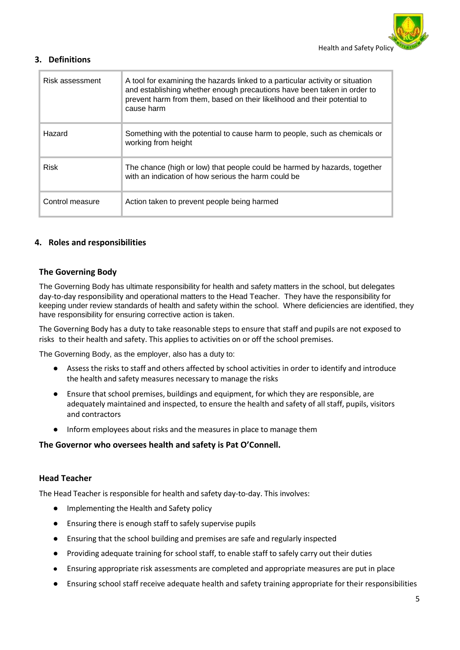

## <span id="page-4-0"></span>**3. Definitions**

| Risk assessment | A tool for examining the hazards linked to a particular activity or situation<br>and establishing whether enough precautions have been taken in order to<br>prevent harm from them, based on their likelihood and their potential to<br>cause harm |
|-----------------|----------------------------------------------------------------------------------------------------------------------------------------------------------------------------------------------------------------------------------------------------|
| Hazard          | Something with the potential to cause harm to people, such as chemicals or<br>working from height                                                                                                                                                  |
| <b>Risk</b>     | The chance (high or low) that people could be harmed by hazards, together<br>with an indication of how serious the harm could be                                                                                                                   |
| Control measure | Action taken to prevent people being harmed                                                                                                                                                                                                        |

## <span id="page-4-1"></span>**4. Roles and responsibilities**

## **The Governing Body**

The Governing Body has ultimate responsibility for health and safety matters in the school, but delegates day-to-day responsibility and operational matters to the Head Teacher. They have the responsibility for keeping under review standards of health and safety within the school. Where deficiencies are identified, they have responsibility for ensuring corrective action is taken.

The Governing Body has a duty to take reasonable steps to ensure that staff and pupils are not exposed to risks to their health and safety. This applies to activities on or off the school premises.

The Governing Body, as the employer, also has a duty to:

- Assess the risks to staff and others affected by school activities in order to identify and introduce the health and safety measures necessary to manage the risks
- Ensure that school premises, buildings and equipment, for which they are responsible, are adequately maintained and inspected, to ensure the health and safety of all staff, pupils, visitors and contractors
- Inform employees about risks and the measures in place to manage them

#### **The Governor who oversees health and safety is Pat O'Connell.**

#### **Head Teacher**

The Head Teacher is responsible for health and safety day-to-day. This involves:

- Implementing the Health and Safety policy
- Ensuring there is enough staff to safely supervise pupils
- Ensuring that the school building and premises are safe and regularly inspected
- Providing adequate training for school staff, to enable staff to safely carry out their duties
- Ensuring appropriate risk assessments are completed and appropriate measures are put in place
- Ensuring school staff receive adequate health and safety training appropriate for their responsibilities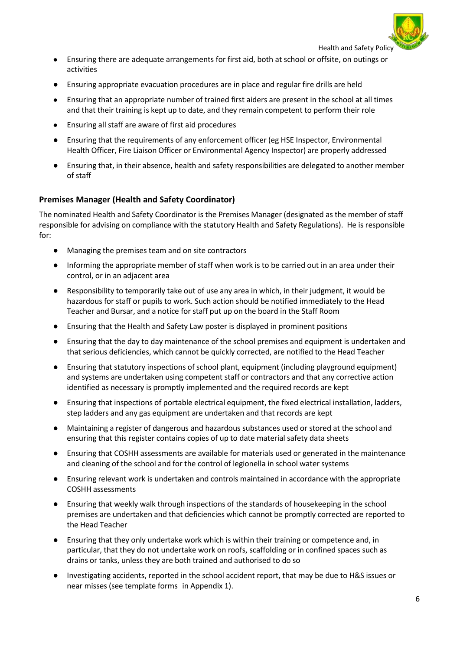

Ensuring there are adequate arrangements for first aid, both at school or offsite, on outings or activities

- Ensuring appropriate evacuation procedures are in place and regular fire drills are held
- Ensuring that an appropriate number of trained first aiders are present in the school at all times and that their training is kept up to date, and they remain competent to perform their role
- Ensuring all staff are aware of first aid procedures
- Ensuring that the requirements of any enforcement officer (eg HSE Inspector, Environmental Health Officer, Fire Liaison Officer or Environmental Agency Inspector) are properly addressed
- Ensuring that, in their absence, health and safety responsibilities are delegated to another member of staff

## **Premises Manager (Health and Safety Coordinator)**

The nominated Health and Safety Coordinator is the Premises Manager (designated as the member of staff responsible for advising on compliance with the statutory Health and Safety Regulations). He is responsible for:

- Managing the premises team and on site contractors
- Informing the appropriate member of staff when work is to be carried out in an area under their control, or in an adjacent area
- Responsibility to temporarily take out of use any area in which, in their judgment, it would be hazardous for staff or pupils to work. Such action should be notified immediately to the Head Teacher and Bursar, and a notice for staff put up on the board in the Staff Room
- Ensuring that the Health and Safety Law poster is displayed in prominent positions
- Ensuring that the day to day maintenance of the school premises and equipment is undertaken and that serious deficiencies, which cannot be quickly corrected, are notified to the Head Teacher
- Ensuring that statutory inspections ofschool plant, equipment (including playground equipment) and systems are undertaken using competent staff or contractors and that any corrective action identified as necessary is promptly implemented and the required records are kept
- Ensuring that inspections of portable electrical equipment, the fixed electrical installation, ladders, step ladders and any gas equipment are undertaken and that records are kept
- Maintaining a register of dangerous and hazardous substances used or stored at the school and ensuring that this register contains copies of up to date material safety data sheets
- Ensuring that COSHH assessments are available for materials used or generated in the maintenance and cleaning of the school and for the control of legionella in school water systems
- Ensuring relevant work is undertaken and controls maintained in accordance with the appropriate COSHH assessments
- Ensuring that weekly walk through inspections of the standards of housekeeping in the school premises are undertaken and that deficiencies which cannot be promptly corrected are reported to the Head Teacher
- Ensuring that they only undertake work which is within their training or competence and, in particular, that they do not undertake work on roofs, scaffolding or in confined spaces such as drains or tanks, unless they are both trained and authorised to do so
- Investigating accidents, reported in the school accident report, that may be due to H&S issues or near misses (see template forms in Appendix 1).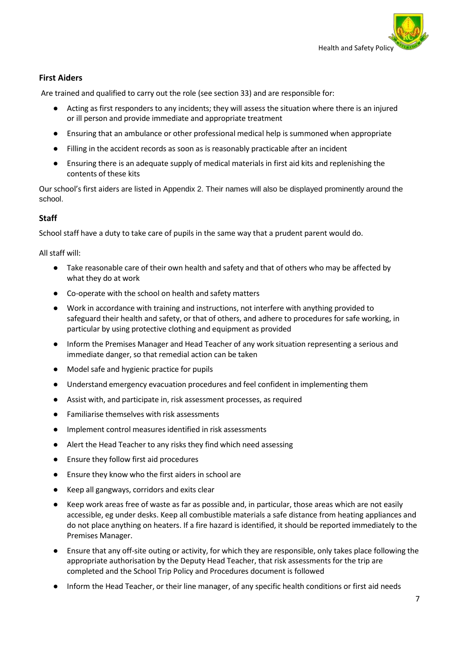

## **First Aiders**

Are trained and qualified to carry out the role (see section 33) and are responsible for:

- Acting as first responders to any incidents; they will assess the situation where there is an injured or ill person and provide immediate and appropriate treatment
- Ensuring that an ambulance or other professional medical help is summoned when appropriate
- Filling in the accident records as soon as is reasonably practicable after an incident
- Ensuring there is an adequate supply of medical materials in first aid kits and replenishing the contents of these kits

Our school's first aiders are listed in Appendix 2. Their names will also be displayed prominently around the school.

## **Staff**

School staff have a duty to take care of pupils in the same way that a prudent parent would do.

All staff will:

- Take reasonable care of their own health and safety and that of others who may be affected by what they do at work
- Co-operate with the school on health and safety matters
- Work in accordance with training and instructions, not interfere with anything provided to safeguard their health and safety, or that of others, and adhere to procedures for safe working, in particular by using protective clothing and equipment as provided
- Inform the Premises Manager and Head Teacher of any work situation representing a serious and immediate danger, so that remedial action can be taken
- Model safe and hygienic practice for pupils
- Understand emergency evacuation procedures and feel confident in implementing them
- Assist with, and participate in, risk assessment processes, as required
- Familiarise themselves with risk assessments
- Implement control measures identified in risk assessments
- Alert the Head Teacher to any risks they find which need assessing
- Ensure they follow first aid procedures
- Ensure they know who the first aiders in school are
- Keep all gangways, corridors and exits clear
- Keep work areas free of waste as far as possible and, in particular, those areas which are not easily accessible, eg under desks. Keep all combustible materials a safe distance from heating appliances and do not place anything on heaters. If a fire hazard is identified, it should be reported immediately to the Premises Manager.
- Ensure that any off-site outing or activity, for which they are responsible, only takes place following the appropriate authorisation by the Deputy Head Teacher, that risk assessments for the trip are completed and the School Trip Policy and Procedures document is followed
- Inform the Head Teacher, or their line manager, of any specific health conditions or first aid needs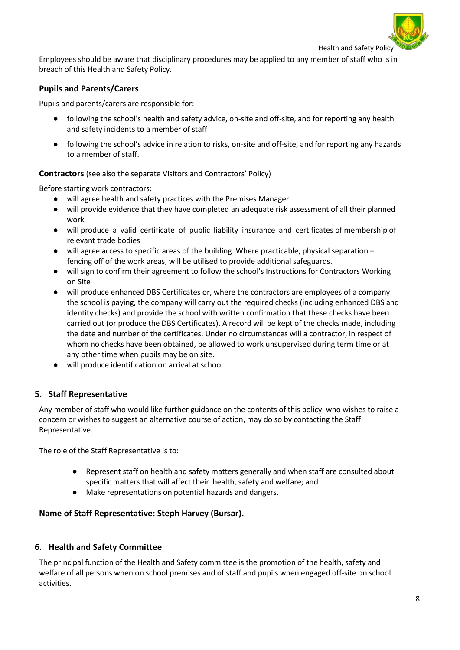

Employees should be aware that disciplinary procedures may be applied to any member of staff who is in breach of this Health and Safety Policy.

## **Pupils and Parents/Carers**

Pupils and parents/carers are responsible for:

- following the school's health and safety advice, on-site and off-site, and for reporting any health and safety incidents to a member of staff
- following the school's advice in relation to risks, on-site and off-site, and for reporting any hazards to a member of staff.

**Contractors** (see also the separate Visitors and Contractors' Policy)

Before starting work contractors:

- will agree health and safety practices with the Premises Manager
- will provide evidence that they have completed an adequate risk assessment of all their planned work
- will produce a valid certificate of public liability insurance and certificates of membership of relevant trade bodies
- $\bullet$  will agree access to specific areas of the building. Where practicable, physical separation fencing off of the work areas, will be utilised to provide additional safeguards.
- will sign to confirm their agreement to follow the school's Instructions for Contractors Working on Site
- will produce enhanced DBS Certificates or, where the contractors are employees of a company the school is paying, the company will carry out the required checks (including enhanced DBS and identity checks) and provide the school with written confirmation that these checks have been carried out (or produce the DBS Certificates). A record will be kept of the checks made, including the date and number of the certificates. Under no circumstances will a contractor, in respect of whom no checks have been obtained, be allowed to work unsupervised during term time or at any other time when pupils may be on site.
- will produce identification on arrival at school.

## <span id="page-7-0"></span>**5. Staff Representative**

Any member of staff who would like further guidance on the contents of this policy, who wishes to raise a concern or wishes to suggest an alternative course of action, may do so by contacting the Staff Representative.

The role of the Staff Representative is to:

- Represent staff on health and safety matters generally and when staff are consulted about specific matters that will affect their health, safety and welfare; and
- Make representations on potential hazards and dangers.

## **Name of Staff Representative: Steph Harvey (Bursar).**

## <span id="page-7-1"></span>**6. Health and Safety Committee**

The principal function of the Health and Safety committee is the promotion of the health, safety and welfare of all persons when on school premises and of staff and pupils when engaged off-site on school activities.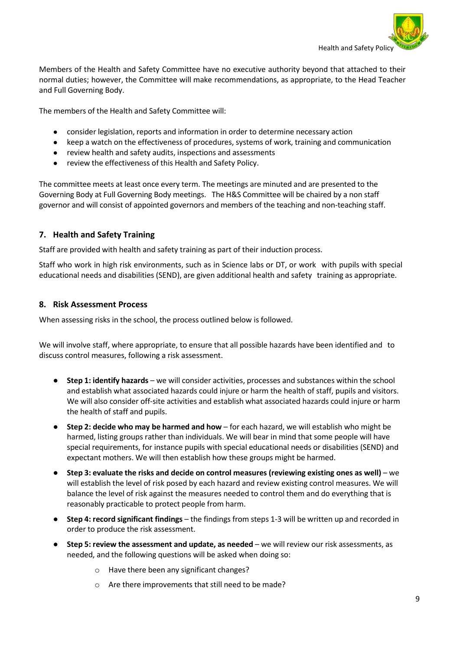

Members of the Health and Safety Committee have no executive authority beyond that attached to their normal duties; however, the Committee will make recommendations, as appropriate, to the Head Teacher and Full Governing Body.

The members of the Health and Safety Committee will:

- consider legislation, reports and information in order to determine necessary action
- keep a watch on the effectiveness of procedures, systems of work, training and communication
- review health and safety audits, inspections and assessments
- review the effectiveness of this Health and Safety Policy.

The committee meets at least once every term. The meetings are minuted and are presented to the Governing Body at Full Governing Body meetings. The H&S Committee will be chaired by a non staff governor and will consist of appointed governors and members of the teaching and non-teaching staff.

## <span id="page-8-0"></span>**7. Health and Safety Training**

Staff are provided with health and safety training as part of their induction process.

Staff who work in high risk environments, such as in Science labs or DT, or work with pupils with special educational needs and disabilities (SEND), are given additional health and safety training as appropriate.

#### <span id="page-8-1"></span>**8. Risk Assessment Process**

When assessing risks in the school, the process outlined below is followed.

We will involve staff, where appropriate, to ensure that all possible hazards have been identified and to discuss control measures, following a risk assessment.

- **Step 1: identify hazards** we will consider activities, processes and substances within the school and establish what associated hazards could injure or harm the health of staff, pupils and visitors. We will also consider off-site activities and establish what associated hazards could injure or harm the health of staff and pupils.
- **Step 2: decide who may be harmed and how** for each hazard, we will establish who might be harmed, listing groups rather than individuals. We will bear in mind that some people will have special requirements, for instance pupils with special educational needs or disabilities (SEND) and expectant mothers. We will then establish how these groups might be harmed.
- **Step 3: evaluate the risks and decide on control measures (reviewing existing ones as well)** we will establish the level of risk posed by each hazard and review existing control measures. We will balance the level of risk against the measures needed to control them and do everything that is reasonably practicable to protect people from harm.
- **Step 4: record significant findings** the findings from steps 1-3 will be written up and recorded in order to produce the risk assessment.
- **Step 5: review the assessment and update, as needed** we will review our risk assessments, as needed, and the following questions will be asked when doing so:
	- o Have there been any significant changes?
	- o Are there improvements that still need to be made?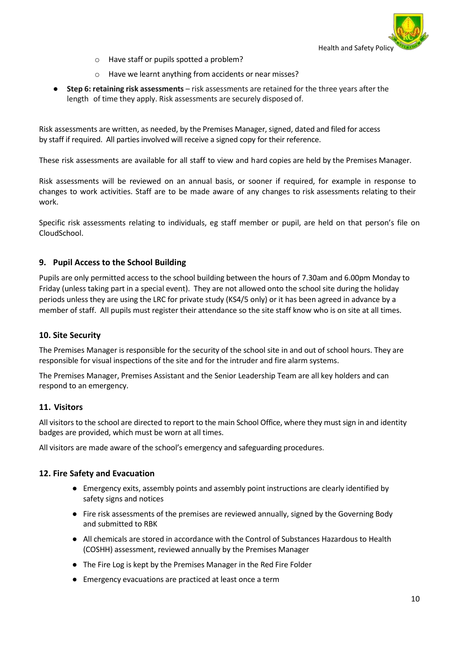

- o Have staff or pupils spotted a problem?
- o Have we learnt anything from accidents or near misses?
- **Step 6: retaining risk assessments** risk assessments are retained for the three years after the length of time they apply. Risk assessments are securely disposed of.

Risk assessments are written, as needed, by the Premises Manager, signed, dated and filed for access by staff if required. All parties involved will receive a signed copy for their reference.

These risk assessments are available for all staff to view and hard copies are held by the Premises Manager.

Risk assessments will be reviewed on an annual basis, or sooner if required, for example in response to changes to work activities. Staff are to be made aware of any changes to risk assessments relating to their work.

Specific risk assessments relating to individuals, eg staff member or pupil, are held on that person's file on CloudSchool.

## <span id="page-9-0"></span>**9. Pupil Access to the School Building**

Pupils are only permitted access to the school building between the hours of 7.30am and 6.00pm Monday to Friday (unless taking part in a special event). They are not allowed onto the school site during the holiday periods unless they are using the LRC for private study (KS4/5 only) or it has been agreed in advance by a member of staff. All pupils must register their attendance so the site staff know who is on site at all times.

## <span id="page-9-1"></span>**10. Site Security**

The Premises Manager is responsible for the security of the school site in and out of school hours. They are responsible for visual inspections of the site and for the intruder and fire alarm systems.

The Premises Manager, Premises Assistant and the Senior Leadership Team are all key holders and can respond to an emergency.

## **11. Visitors**

All visitors to the school are directed to report to the main School Office, where they must sign in and identity badges are provided, which must be worn at all times.

All visitors are made aware of the school's emergency and safeguarding procedures.

#### <span id="page-9-2"></span>**12. Fire Safety and Evacuation**

- Emergency exits, assembly points and assembly point instructions are clearly identified by safety signs and notices
- Fire risk assessments of the premises are reviewed annually, signed by the Governing Body and submitted to RBK
- All chemicals are stored in accordance with the Control of Substances Hazardous to Health (COSHH) assessment, reviewed annually by the Premises Manager
- The Fire Log is kept by the Premises Manager in the Red Fire Folder
- Emergency evacuations are practiced at least once a term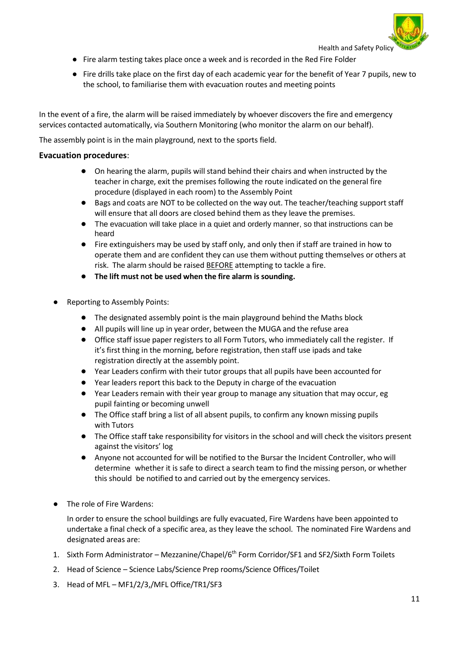

- Fire alarm testing takes place once a week and is recorded in the Red Fire Folder
- Fire drills take place on the first day of each academic year for the benefit of Year 7 pupils, new to the school, to familiarise them with evacuation routes and meeting points

In the event of a fire, the alarm will be raised immediately by whoever discovers the fire and emergency services contacted automatically, via Southern Monitoring (who monitor the alarm on our behalf).

The assembly point is in the main playground, next to the sports field.

#### **Evacuation procedures**:

- On hearing the alarm, pupils will stand behind their chairs and when instructed by the teacher in charge, exit the premises following the route indicated on the general fire procedure (displayed in each room) to the Assembly Point
- Bags and coats are NOT to be collected on the way out. The teacher/teaching support staff will ensure that all doors are closed behind them as they leave the premises.
- The evacuation will take place in a quiet and orderly manner, so that instructions can be heard
- Fire extinguishers may be used by staff only, and only then if staff are trained in how to operate them and are confident they can use them without putting themselves or others at risk. The alarm should be raised **BEFORE** attempting to tackle a fire.
- **The lift must not be used when the fire alarm is sounding.**
- Reporting to Assembly Points:
	- The designated assembly point is the main playground behind the Maths block
	- All pupils will line up in year order, between the MUGA and the refuse area
	- Office staff issue paper registers to all Form Tutors, who immediately call the register. If it's first thing in the morning, before registration, then staff use ipads and take registration directly at the assembly point.
	- Year Leaders confirm with their tutor groups that all pupils have been accounted for
	- Year leaders report this back to the Deputy in charge of the evacuation
	- Year Leaders remain with their year group to manage any situation that may occur, eg pupil fainting or becoming unwell
	- The Office staff bring a list of all absent pupils, to confirm any known missing pupils with Tutors
	- The Office staff take responsibility for visitors in the school and will check the visitors present against the visitors' log
	- Anyone not accounted for will be notified to the Bursar the Incident Controller, who will determine whether it is safe to direct a search team to find the missing person, or whether this should be notified to and carried out by the emergency services.
- The role of Fire Wardens:

In order to ensure the school buildings are fully evacuated, Fire Wardens have been appointed to undertake a final check of a specific area, as they leave the school. The nominated Fire Wardens and designated areas are:

- 1. Sixth Form Administrator Mezzanine/Chapel/6<sup>th</sup> Form Corridor/SF1 and SF2/Sixth Form Toilets
- 2. Head of Science Science Labs/Science Prep rooms/Science Offices/Toilet
- 3. Head of MFL MF1/2/3,/MFL Office/TR1/SF3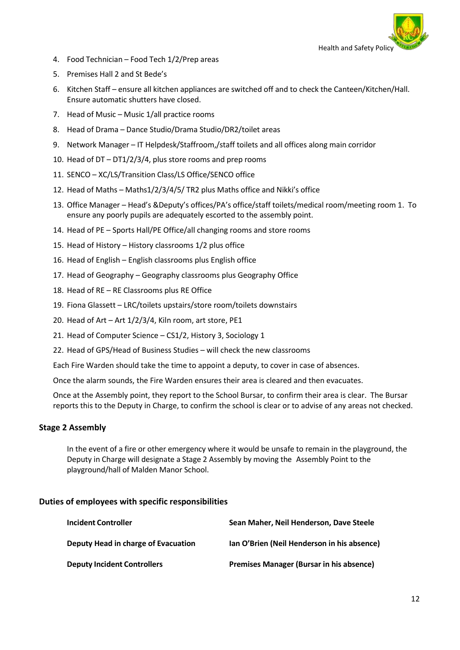

- 4. Food Technician Food Tech 1/2/Prep areas
- 5. Premises Hall 2 and St Bede's
- 6. Kitchen Staff ensure all kitchen appliances are switched off and to check the Canteen/Kitchen/Hall. Ensure automatic shutters have closed.
- 7. Head of Music Music 1/all practice rooms
- 8. Head of Drama Dance Studio/Drama Studio/DR2/toilet areas
- 9. Network Manager IT Helpdesk/Staffroom,/staff toilets and all offices along main corridor
- 10. Head of DT DT1/2/3/4, plus store rooms and prep rooms
- 11. SENCO XC/LS/Transition Class/LS Office/SENCO office
- 12. Head of Maths Maths1/2/3/4/5/ TR2 plus Maths office and Nikki's office
- 13. Office Manager Head's &Deputy's offices/PA's office/staff toilets/medical room/meeting room 1. To ensure any poorly pupils are adequately escorted to the assembly point.
- 14. Head of PE Sports Hall/PE Office/all changing rooms and store rooms
- 15. Head of History History classrooms 1/2 plus office
- 16. Head of English English classrooms plus English office
- 17. Head of Geography Geography classrooms plus Geography Office
- 18. Head of RE RE Classrooms plus RE Office
- 19. Fiona Glassett LRC/toilets upstairs/store room/toilets downstairs
- 20. Head of Art Art 1/2/3/4, Kiln room, art store, PE1
- 21. Head of Computer Science CS1/2, History 3, Sociology 1
- 22. Head of GPS/Head of Business Studies will check the new classrooms

Each Fire Warden should take the time to appoint a deputy, to cover in case of absences.

Once the alarm sounds, the Fire Warden ensures their area is cleared and then evacuates.

Once at the Assembly point, they report to the School Bursar, to confirm their area is clear. The Bursar reports this to the Deputy in Charge, to confirm the school is clear or to advise of any areas not checked.

## **Stage 2 Assembly**

In the event of a fire or other emergency where it would be unsafe to remain in the playground, the Deputy in Charge will designate a Stage 2 Assembly by moving the Assembly Point to the playground/hall of Malden Manor School.

## **Duties of employees with specific responsibilities**

| <b>Incident Controller</b>          | Sean Maher, Neil Henderson, Dave Steele     |
|-------------------------------------|---------------------------------------------|
| Deputy Head in charge of Evacuation | Ian O'Brien (Neil Henderson in his absence) |
| <b>Deputy Incident Controllers</b>  | Premises Manager (Bursar in his absence)    |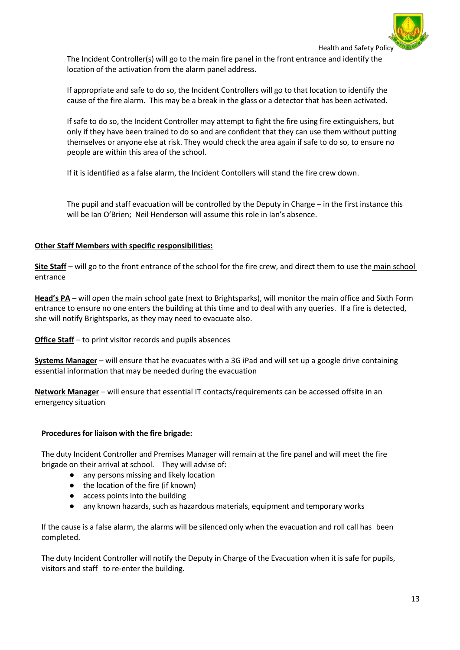

The Incident Controller(s) will go to the main fire panel in the front entrance and identify the location of the activation from the alarm panel address.

If appropriate and safe to do so, the Incident Controllers will go to that location to identify the cause of the fire alarm. This may be a break in the glass or a detector that has been activated.

If safe to do so, the Incident Controller may attempt to fight the fire using fire extinguishers, but only if they have been trained to do so and are confident that they can use them without putting themselves or anyone else at risk. They would check the area again if safe to do so, to ensure no people are within this area of the school.

If it is identified as a false alarm, the Incident Contollers will stand the fire crew down.

The pupil and staff evacuation will be controlled by the Deputy in Charge – in the first instance this will be Ian O'Brien; Neil Henderson will assume this role in Ian's absence.

#### **Other Staff Members with specific responsibilities:**

**Site Staff** – will go to the front entrance of the school for the fire crew, and direct them to use the main school entrance

**Head's PA** – will open the main school gate (next to Brightsparks), will monitor the main office and Sixth Form entrance to ensure no one enters the building at this time and to deal with any queries. If a fire is detected, she will notify Brightsparks, as they may need to evacuate also.

**Office Staff** – to print visitor records and pupils absences

**Systems Manager** – will ensure that he evacuates with a 3G iPad and will set up a google drive containing essential information that may be needed during the evacuation

**Network Manager** – will ensure that essential IT contacts/requirements can be accessed offsite in an emergency situation

#### **Procedures for liaison with the fire brigade:**

The duty Incident Controller and Premises Manager will remain at the fire panel and will meet the fire brigade on their arrival at school. They will advise of:

- any persons missing and likely location
- the location of the fire (if known)
- access points into the building
- any known hazards, such as hazardous materials, equipment and temporary works

If the cause is a false alarm, the alarms will be silenced only when the evacuation and roll call has been completed.

The duty Incident Controller will notify the Deputy in Charge of the Evacuation when it is safe for pupils, visitors and staff to re-enter the building.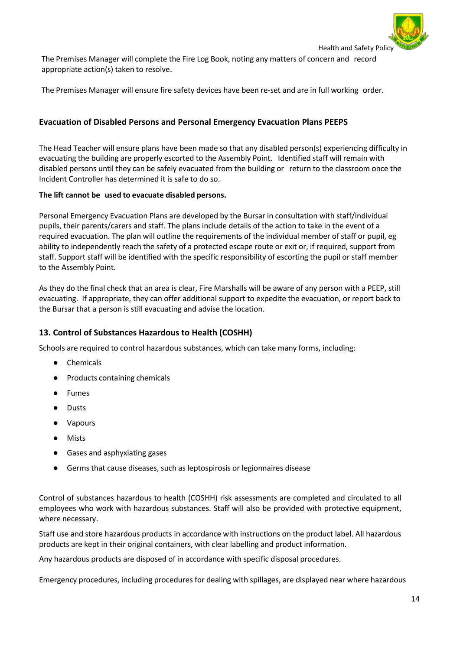

The Premises Manager will complete the Fire Log Book, noting any matters of concern and record appropriate action(s) taken to resolve.

The Premises Manager will ensure fire safety devices have been re-set and are in full working order.

## **Evacuation of Disabled Persons and Personal Emergency Evacuation Plans PEEPS**

The Head Teacher will ensure plans have been made so that any disabled person(s) experiencing difficulty in evacuating the building are properly escorted to the Assembly Point. Identified staff will remain with disabled persons until they can be safely evacuated from the building or return to the classroom once the Incident Controller has determined it is safe to do so.

#### **The lift cannot be used to evacuate disabled persons.**

Personal Emergency Evacuation Plans are developed by the Bursar in consultation with staff/individual pupils, their parents/carers and staff. The plans include details of the action to take in the event of a required evacuation. The plan will outline the requirements of the individual member of staff or pupil, eg ability to independently reach the safety of a protected escape route or exit or, if required, support from staff. Support staff will be identified with the specific responsibility of escorting the pupil or staff member to the Assembly Point.

As they do the final check that an area is clear, Fire Marshalls will be aware of any person with a PEEP, still evacuating. If appropriate, they can offer additional support to expedite the evacuation, or report back to the Bursar that a person is still evacuating and advise the location.

## <span id="page-13-0"></span>**13. Control of Substances Hazardous to Health (COSHH)**

Schools are required to control hazardous substances, which can take many forms, including:

- Chemicals
- Products containing chemicals
- **Fumes**
- **Dusts**
- **Vapours**
- **Mists**
- Gases and asphyxiating gases
- Germs that cause diseases, such as leptospirosis or legionnaires disease

Control of substances hazardous to health (COSHH) risk assessments are completed and circulated to all employees who work with hazardous substances. Staff will also be provided with protective equipment, where necessary.

Staff use and store hazardous products in accordance with instructions on the product label. All hazardous products are kept in their original containers, with clear labelling and product information.

Any hazardous products are disposed of in accordance with specific disposal procedures.

Emergency procedures, including procedures for dealing with spillages, are displayed near where hazardous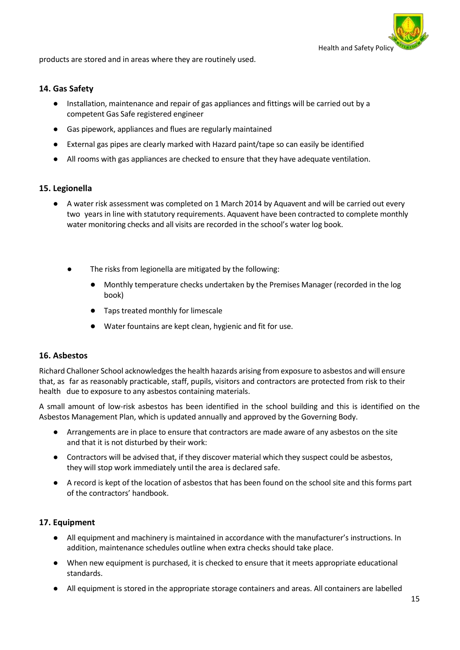

products are stored and in areas where they are routinely used.

#### <span id="page-14-0"></span>**14. Gas Safety**

- Installation, maintenance and repair of gas appliances and fittings will be carried out by a competent Gas Safe registered engineer
- Gas pipework, appliances and flues are regularly maintained
- External gas pipes are clearly marked with Hazard paint/tape so can easily be identified
- All rooms with gas appliances are checked to ensure that they have adequate ventilation.

#### <span id="page-14-1"></span>**15. Legionella**

- A water risk assessment was completed on 1 March 2014 by Aquavent and will be carried out every two years in line with statutory requirements. Aquavent have been contracted to complete monthly water monitoring checks and all visits are recorded in the school's water log book.
	- The risks from legionella are mitigated by the following:
		- Monthly temperature checks undertaken by the Premises Manager (recorded in the log book)
		- Tapstreated monthly for limescale
		- Water fountains are kept clean, hygienic and fit for use.

#### <span id="page-14-2"></span>**16. Asbestos**

Richard Challoner School acknowledgesthe health hazards arising from exposure to asbestos and will ensure that, as far as reasonably practicable, staff, pupils, visitors and contractors are protected from risk to their health due to exposure to any asbestos containing materials.

A small amount of low-risk asbestos has been identified in the school building and this is identified on the Asbestos Management Plan, which is updated annually and approved by the Governing Body.

- Arrangements are in place to ensure that contractors are made aware of any asbestos on the site and that it is not disturbed by their work:
- Contractors will be advised that, if they discover material which they suspect could be asbestos, they will stop work immediately until the area is declared safe.
- A record is kept of the location of asbestos that has been found on the school site and this forms part of the contractors' handbook.

## <span id="page-14-3"></span>**17. Equipment**

- All equipment and machinery is maintained in accordance with the manufacturer's instructions. In addition, maintenance schedules outline when extra checks should take place.
- When new equipment is purchased, it is checked to ensure that it meets appropriate educational standards.
- All equipment is stored in the appropriate storage containers and areas. All containers are labelled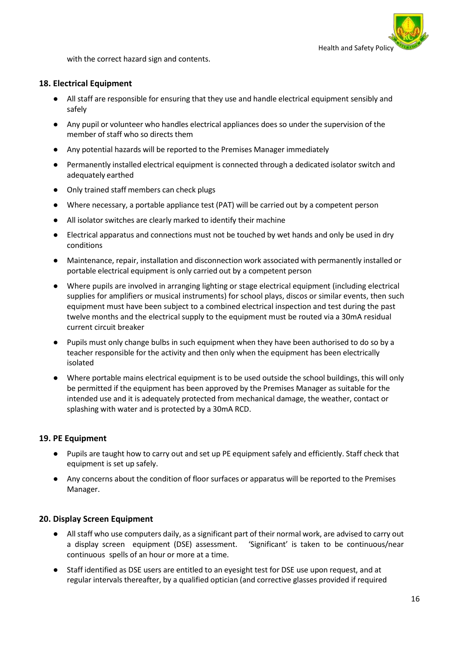

with the correct hazard sign and contents.

#### <span id="page-15-0"></span>**18. Electrical Equipment**

- All staff are responsible for ensuring that they use and handle electrical equipment sensibly and safely
- Any pupil or volunteer who handles electrical appliances does so under the supervision of the member of staff who so directs them
- Any potential hazards will be reported to the Premises Manager immediately
- Permanently installed electrical equipment is connected through a dedicated isolator switch and adequately earthed
- Only trained staff members can check plugs
- Where necessary, a portable appliance test (PAT) will be carried out by a competent person
- All isolator switches are clearly marked to identify their machine
- Electrical apparatus and connections must not be touched by wet hands and only be used in dry conditions
- Maintenance, repair, installation and disconnection work associated with permanently installed or portable electrical equipment is only carried out by a competent person
- Where pupils are involved in arranging lighting or stage electrical equipment (including electrical supplies for amplifiers or musical instruments) for school plays, discos or similar events, then such equipment must have been subject to a combined electrical inspection and test during the past twelve months and the electrical supply to the equipment must be routed via a 30mA residual current circuit breaker
- Pupils must only change bulbs in such equipment when they have been authorised to do so by a teacher responsible for the activity and then only when the equipment has been electrically isolated
- Where portable mains electrical equipment is to be used outside the school buildings, this will only be permitted if the equipment has been approved by the Premises Manager as suitable for the intended use and it is adequately protected from mechanical damage, the weather, contact or splashing with water and is protected by a 30mA RCD.

#### <span id="page-15-1"></span>**19. PE Equipment**

- Pupils are taught how to carry out and set up PE equipment safely and efficiently. Staff check that equipment is set up safely.
- Any concerns about the condition of floor surfaces or apparatus will be reported to the Premises Manager.

#### <span id="page-15-2"></span>**20. Display Screen Equipment**

- All staff who use computers daily, as a significant part of their normal work, are advised to carry out a display screen equipment (DSE) assessment. 'Significant' is taken to be continuous/near continuous spells of an hour or more at a time.
- Staff identified as DSE users are entitled to an eyesight test for DSE use upon request, and at regular intervals thereafter, by a qualified optician (and corrective glasses provided if required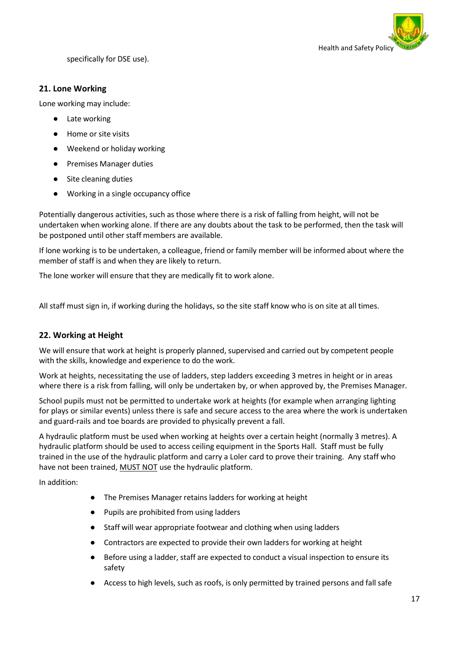

specifically for DSE use).

## <span id="page-16-0"></span>**21. Lone Working**

Lone working may include:

- **Late working**
- Home or site visits
- Weekend or holiday working
- Premises Manager duties
- Site cleaning duties
- Working in a single occupancy office

Potentially dangerous activities, such as those where there is a risk of falling from height, will not be undertaken when working alone. If there are any doubts about the task to be performed, then the task will be postponed until other staff members are available.

If lone working is to be undertaken, a colleague, friend or family member will be informed about where the member of staff is and when they are likely to return.

The lone worker will ensure that they are medically fit to work alone.

All staff must sign in, if working during the holidays, so the site staff know who is on site at all times.

## <span id="page-16-1"></span>**22. Working at Height**

We will ensure that work at height is properly planned, supervised and carried out by competent people with the skills, knowledge and experience to do the work.

Work at heights, necessitating the use of ladders, step ladders exceeding 3 metres in height or in areas where there is a risk from falling, will only be undertaken by, or when approved by, the Premises Manager.

School pupils must not be permitted to undertake work at heights (for example when arranging lighting for plays or similar events) unless there is safe and secure access to the area where the work is undertaken and guard-rails and toe boards are provided to physically prevent a fall.

A hydraulic platform must be used when working at heights over a certain height (normally 3 metres). A hydraulic platform should be used to access ceiling equipment in the Sports Hall. Staff must be fully trained in the use of the hydraulic platform and carry a Loler card to prove their training. Any staff who have not been trained, MUST NOT use the hydraulic platform.

In addition:

- The Premises Manager retains ladders for working at height
- Pupils are prohibited from using ladders
- Staff will wear appropriate footwear and clothing when using ladders
- Contractors are expected to provide their own ladders for working at height
- Before using a ladder, staff are expected to conduct a visual inspection to ensure its safety
- Access to high levels, such as roofs, is only permitted by trained persons and fall safe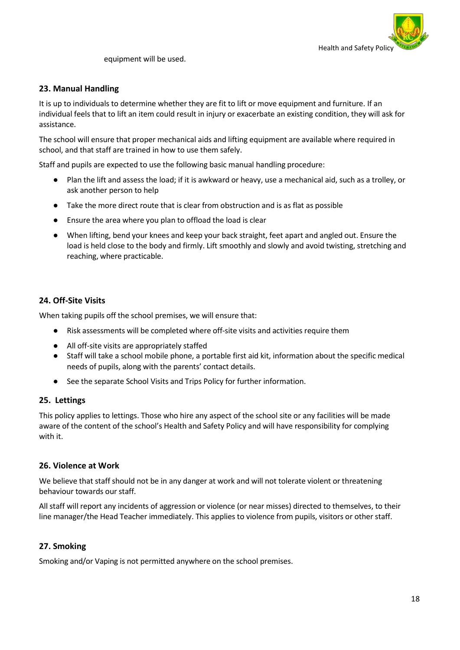

equipment will be used.

## <span id="page-17-0"></span>**23. Manual Handling**

It is up to individuals to determine whether they are fit to lift or move equipment and furniture. If an individual feels that to lift an item could result in injury or exacerbate an existing condition, they will ask for assistance.

The school will ensure that proper mechanical aids and lifting equipment are available where required in school, and that staff are trained in how to use them safely.

Staff and pupils are expected to use the following basic manual handling procedure:

- Plan the lift and assess the load; if it is awkward or heavy, use a mechanical aid, such as a trolley, or ask another person to help
- Take the more direct route that is clear from obstruction and is as flat as possible
- Ensure the area where you plan to offload the load is clear
- When lifting, bend your knees and keep your back straight, feet apart and angled out. Ensure the load is held close to the body and firmly. Lift smoothly and slowly and avoid twisting, stretching and reaching, where practicable.

## <span id="page-17-1"></span>**24. Off-Site Visits**

When taking pupils off the school premises, we will ensure that:

- Risk assessments will be completed where off-site visits and activities require them
- All off-site visits are appropriately staffed
- Staff will take a school mobile phone, a portable first aid kit, information about the specific medical needs of pupils, along with the parents' contact details.
- See the separate School Visits and Trips Policy for further information.

#### <span id="page-17-2"></span>**25. Lettings**

This policy applies to lettings. Those who hire any aspect of the school site or any facilities will be made aware of the content of the school's Health and Safety Policy and will have responsibility for complying with it.

#### <span id="page-17-3"></span>**26. Violence at Work**

We believe that staff should not be in any danger at work and will not tolerate violent or threatening behaviour towards our staff.

All staff will report any incidents of aggression or violence (or near misses) directed to themselves, to their line manager/the Head Teacher immediately. This applies to violence from pupils, visitors or other staff.

## <span id="page-17-4"></span>**27. Smoking**

Smoking and/or Vaping is not permitted anywhere on the school premises.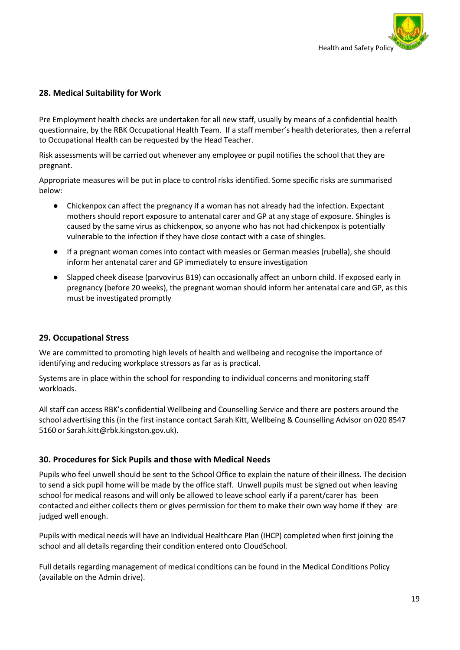

## **28. Medical Suitability for Work**

Pre Employment health checks are undertaken for all new staff, usually by means of a confidential health questionnaire, by the RBK Occupational Health Team. If a staff member's health deteriorates, then a referral to Occupational Health can be requested by the Head Teacher.

Risk assessments will be carried out whenever any employee or pupil notifies the school that they are pregnant.

Appropriate measures will be put in place to control risks identified. Some specific risks are summarised below:

- Chickenpox can affect the pregnancy if a woman has not already had the infection. Expectant mothers should report exposure to antenatal carer and GP at any stage of exposure. Shingles is caused by the same virus as chickenpox, so anyone who has not had chickenpox is potentially vulnerable to the infection if they have close contact with a case of shingles.
- If a pregnant woman comes into contact with measles or German measles (rubella), she should inform her antenatal carer and GP immediately to ensure investigation
- Slapped cheek disease (parvovirus B19) can occasionally affect an unborn child. If exposed early in pregnancy (before 20 weeks), the pregnant woman should inform her antenatal care and GP, as this must be investigated promptly

#### <span id="page-18-0"></span>**29. Occupational Stress**

We are committed to promoting high levels of health and wellbeing and recognise the importance of identifying and reducing workplace stressors as far as is practical.

Systems are in place within the school for responding to individual concerns and monitoring staff workloads.

All staff can access RBK's confidential Wellbeing and Counselling Service and there are posters around the school advertising this (in the first instance contact Sarah Kitt, Wellbeing & Counselling Advisor on 020 8547 5160 or Sarah.kitt@rbk.kingston.gov.uk).

#### <span id="page-18-1"></span>**30. Procedures for Sick Pupils and those with Medical Needs**

Pupils who feel unwell should be sent to the School Office to explain the nature of their illness. The decision to send a sick pupil home will be made by the office staff. Unwell pupils must be signed out when leaving school for medical reasons and will only be allowed to leave school early if a parent/carer has been contacted and either collects them or gives permission for them to make their own way home if they are judged well enough.

Pupils with medical needs will have an Individual Healthcare Plan (IHCP) completed when first joining the school and all details regarding their condition entered onto CloudSchool.

Full details regarding management of medical conditions can be found in the Medical Conditions Policy (available on the Admin drive).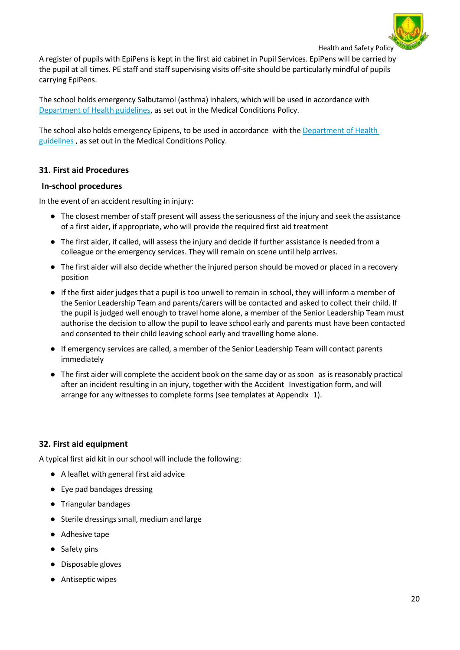

A register of pupils with EpiPens is kept in the first aid cabinet in Pupil Services. EpiPens will be carried by the pupil at all times. PE staff and staff supervising visits off-site should be particularly mindful of pupils carrying EpiPens.

The school holds emergency Salbutamol (asthma) inhalers, which will be used in accordance with [Department](https://www.gov.uk/government/publications/emergency-asthma-inhalers-for-use-in-schools) of Health guidelines, as set out in the Medical Conditions Policy.

The school also holds emergency Epipens, to be used in accordance with the [Department](https://www.gov.uk/government/publications/using-emergency-adrenaline-auto-injectors-in-schools) of Health [guidelines](https://www.gov.uk/government/publications/using-emergency-adrenaline-auto-injectors-in-schools) , as set out in the Medical Conditions Policy.

## **31. First aid Procedures**

#### **In-school procedures**

In the event of an accident resulting in injury:

- The closest member of staff present will assess the seriousness of the injury and seek the assistance of a first aider, if appropriate, who will provide the required first aid treatment
- The first aider, if called, will assess the injury and decide if further assistance is needed from a colleague or the emergency services. They will remain on scene until help arrives.
- The first aider will also decide whether the injured person should be moved or placed in a recovery position
- If the first aider judges that a pupil is too unwell to remain in school, they will inform a member of the Senior Leadership Team and parents/carers will be contacted and asked to collect their child. If the pupil is judged well enough to travel home alone, a member of the Senior Leadership Team must authorise the decision to allow the pupil to leave school early and parents must have been contacted and consented to their child leaving school early and travelling home alone.
- If emergency services are called, a member of the Senior Leadership Team will contact parents immediately
- The first aider will complete the accident book on the same day or as soon as is reasonably practical after an incident resulting in an injury, together with the Accident Investigation form, and will arrange for any witnesses to complete forms (see templates at Appendix 1).

## <span id="page-19-0"></span>**32. First aid equipment**

A typical first aid kit in our school will include the following:

- A leaflet with general first aid advice
- Eye pad bandages dressing
- Triangular bandages
- Sterile dressings small, medium and large
- Adhesive tape
- Safety pins
- Disposable gloves
- Antiseptic wipes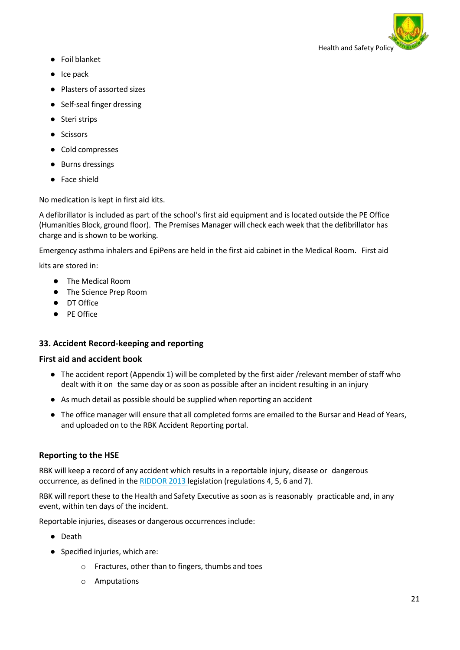

- Foil blanket
- Ice pack
- Plasters of assorted sizes
- Self-seal finger dressing
- Steri strips
- Scissors
- Cold compresses
- Burns dressings
- Face shield

No medication is kept in first aid kits.

A defibrillator is included as part of the school's first aid equipment and is located outside the PE Office (Humanities Block, ground floor). The Premises Manager will check each week that the defibrillator has charge and is shown to be working.

Emergency asthma inhalers and EpiPens are held in the first aid cabinet in the Medical Room. First aid

kits are stored in:

- The Medical Room
- The Science Prep Room
- DT Office
- PE Office

## **33. Accident Record-keeping and reporting**

## **First aid and accident book**

- The accident report (Appendix 1) will be completed by the first aider /relevant member of staff who dealt with it on the same day or as soon as possible after an incident resulting in an injury
- As much detail as possible should be supplied when reporting an accident
- The office manager will ensure that all completed forms are emailed to the Bursar and Head of Years, and uploaded on to the RBK Accident Reporting portal.

## **Reporting to the HSE**

RBK will keep a record of any accident which results in a reportable injury, disease or dangerous occurrence, as defined in the **[RIDDOR](http://www.hse.gov.uk/riddor/index.htm) 2013** legislation (regulations 4, 5, 6 and 7).

RBK will report these to the Health and Safety Executive as soon as is reasonably practicable and, in any event, within ten days of the incident.

Reportable injuries, diseases or dangerous occurrences include:

- Death
- Specified injuries, which are:
	- o Fractures, other than to fingers, thumbs and toes
	- o Amputations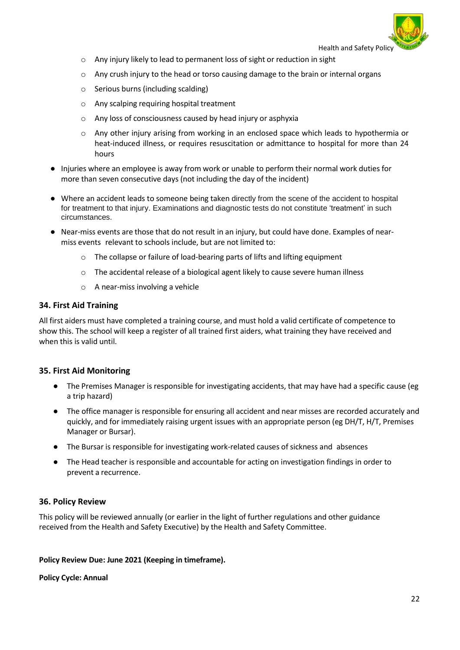- o Any injury likely to lead to permanent loss of sight or reduction in sight
- $\circ$  Any crush injury to the head or torso causing damage to the brain or internal organs
- o Serious burns (including scalding)
- o Any scalping requiring hospital treatment
- o Any loss of consciousness caused by head injury or asphyxia
- $\circ$  Any other injury arising from working in an enclosed space which leads to hypothermia or heat-induced illness, or requires resuscitation or admittance to hospital for more than 24 hours
- Injuries where an employee is away from work or unable to perform their normal work duties for more than seven consecutive days (not including the day of the incident)
- Where an accident leads to someone being taken directly from the scene of the accident to hospital for treatment to that injury. Examinations and diagnostic tests do not constitute 'treatment' in such circumstances.
- Near-miss events are those that do not result in an injury, but could have done. Examples of nearmiss events relevant to schools include, but are not limited to:
	- o The collapse or failure of load-bearing parts of lifts and lifting equipment
	- o The accidental release of a biological agent likely to cause severe human illness
	- o A near-miss involving a vehicle

#### <span id="page-21-0"></span>**34. First Aid Training**

All first aiders must have completed a training course, and must hold a valid certificate of competence to show this. The school will keep a register of all trained first aiders, what training they have received and when this is valid until.

## <span id="page-21-1"></span>**35. First Aid Monitoring**

- The Premises Manager is responsible for investigating accidents, that may have had a specific cause (eg a trip hazard)
- The office manager is responsible for ensuring all accident and near misses are recorded accurately and quickly, and for immediately raising urgent issues with an appropriate person (eg DH/T, H/T, Premises Manager or Bursar).
- The Bursar is responsible for investigating work-related causes of sickness and absences
- The Head teacher is responsible and accountable for acting on investigation findings in order to prevent a recurrence.

#### <span id="page-21-2"></span>**36. Policy Review**

This policy will be reviewed annually (or earlier in the light of further regulations and other guidance received from the Health and Safety Executive) by the Health and Safety Committee.

#### **Policy Review Due: June 2021 (Keeping in timeframe).**

#### **Policy Cycle: Annual**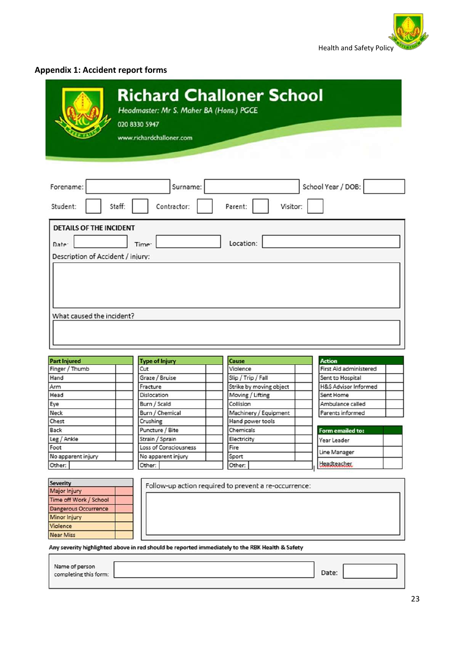

# <span id="page-22-0"></span>**Appendix 1: Accident report forms**

|                                                                                                                                                                                        | Headmaster: Mr S. Maher BA (Hons.) PGCE<br>020 8330 5947<br>www.richardchalloner.com |                                                       | <b>Richard Challoner School</b>    |
|----------------------------------------------------------------------------------------------------------------------------------------------------------------------------------------|--------------------------------------------------------------------------------------|-------------------------------------------------------|------------------------------------|
| Forename:                                                                                                                                                                              | Surname:                                                                             |                                                       | School Year / DOB:                 |
| Student:                                                                                                                                                                               | Staff:<br>Contractor:                                                                | Parent:<br>Visitor:                                   |                                    |
|                                                                                                                                                                                        |                                                                                      |                                                       |                                    |
| What caused the incident?                                                                                                                                                              |                                                                                      |                                                       |                                    |
|                                                                                                                                                                                        |                                                                                      |                                                       |                                    |
|                                                                                                                                                                                        |                                                                                      | Cause                                                 | <b>Action</b>                      |
|                                                                                                                                                                                        | <b>Type of Injury</b><br>Cut                                                         | Violence                                              | First Aid administered             |
|                                                                                                                                                                                        | Graze / Bruise                                                                       | Slip / Trip / Fall                                    | Sent to Hospital                   |
|                                                                                                                                                                                        | Fracture                                                                             | Strike by moving object                               | H&S Advisor Informed               |
|                                                                                                                                                                                        | Dislocation                                                                          | Moving / Lifting                                      | Sent Home                          |
|                                                                                                                                                                                        | Burn / Scald                                                                         | Collision                                             | Ambulance called                   |
|                                                                                                                                                                                        | Burn / Chemical                                                                      | Machinery / Equipment                                 | Parents informed                   |
|                                                                                                                                                                                        | Crushing                                                                             | Hand power tools                                      |                                    |
|                                                                                                                                                                                        | Puncture / Bite                                                                      | Chemicals                                             | Form emailed to:                   |
|                                                                                                                                                                                        | Strain / Sprain                                                                      | Electricity                                           | Year Leader                        |
|                                                                                                                                                                                        | Loss of Consciousness                                                                | Fire                                                  |                                    |
|                                                                                                                                                                                        | No apparent injury<br>Other:                                                         | Sport<br>Other:                                       | Line Manager<br><b>Headteasher</b> |
|                                                                                                                                                                                        |                                                                                      |                                                       |                                    |
|                                                                                                                                                                                        |                                                                                      | Follow-up action required to prevent a re-occurrence: |                                    |
| <b>Part Injured</b><br>Finger / Thumb<br>Hand<br>Arm<br>Head<br>Eye<br>Neck<br>Chest<br>Back<br>Leg / Ankle<br>Foot<br>No apparent injury<br>Other:<br><b>Severity</b><br>Major Injury |                                                                                      |                                                       |                                    |
| Time off Work / School                                                                                                                                                                 |                                                                                      |                                                       |                                    |
| <b>Dangerous Occurrence</b>                                                                                                                                                            |                                                                                      |                                                       |                                    |

Any severity highlighted above in red should be reported immediately to the RBK Health & Safety

Violence Near Miss

| Name of person<br>completing this form: |  |  |
|-----------------------------------------|--|--|
|                                         |  |  |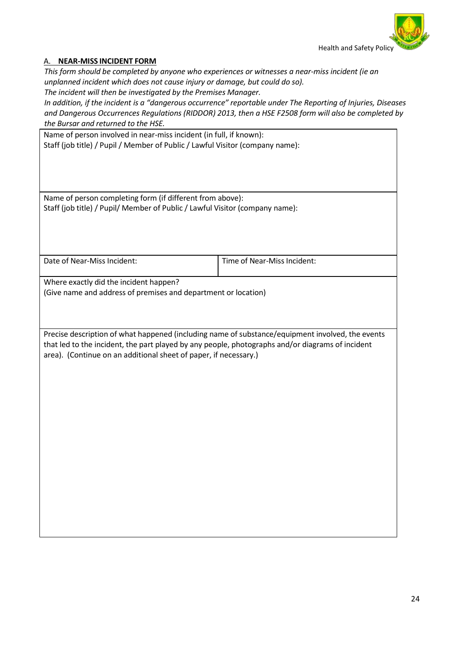

## A. **NEAR-MISS INCIDENT FORM**

*This form should be completed by anyone who experiences or witnesses a near-miss incident (ie an unplanned incident which does not cause injury or damage, but could do so).*

*The incident will then be investigated by the Premises Manager.*

*In addition, if the incident is a "dangerous occurrence" reportable under The Reporting of Injuries, Diseases and Dangerous Occurrences Regulations (RIDDOR) 2013, then a HSE F2508 form will also be completed by the Bursar and returned to the HSE.*

| Name of person involved in near-miss incident (in full, if known):<br>Staff (job title) / Pupil / Member of Public / Lawful Visitor (company name):                                                                                                                      |                             |  |  |
|--------------------------------------------------------------------------------------------------------------------------------------------------------------------------------------------------------------------------------------------------------------------------|-----------------------------|--|--|
| Name of person completing form (if different from above):                                                                                                                                                                                                                |                             |  |  |
| Staff (job title) / Pupil/ Member of Public / Lawful Visitor (company name):                                                                                                                                                                                             |                             |  |  |
|                                                                                                                                                                                                                                                                          |                             |  |  |
|                                                                                                                                                                                                                                                                          |                             |  |  |
| Date of Near-Miss Incident:                                                                                                                                                                                                                                              | Time of Near-Miss Incident: |  |  |
| Where exactly did the incident happen?<br>(Give name and address of premises and department or location)                                                                                                                                                                 |                             |  |  |
|                                                                                                                                                                                                                                                                          |                             |  |  |
| Precise description of what happened (including name of substance/equipment involved, the events<br>that led to the incident, the part played by any people, photographs and/or diagrams of incident<br>area). (Continue on an additional sheet of paper, if necessary.) |                             |  |  |
|                                                                                                                                                                                                                                                                          |                             |  |  |
|                                                                                                                                                                                                                                                                          |                             |  |  |
|                                                                                                                                                                                                                                                                          |                             |  |  |
|                                                                                                                                                                                                                                                                          |                             |  |  |
|                                                                                                                                                                                                                                                                          |                             |  |  |
|                                                                                                                                                                                                                                                                          |                             |  |  |
|                                                                                                                                                                                                                                                                          |                             |  |  |
|                                                                                                                                                                                                                                                                          |                             |  |  |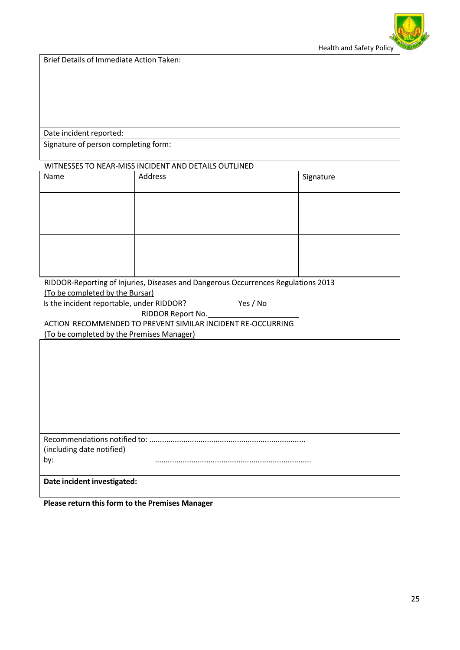

Brief Details of Immediate Action Taken:

Date incident reported:

Signature of person completing form:

#### WITNESSES TO NEAR-MISS INCIDENT AND DETAILS OUTLINED

| Name | Address | Signature |
|------|---------|-----------|
|      |         |           |
|      |         |           |
|      |         |           |
|      |         |           |

RIDDOR-Reporting of Injuries, Diseases and Dangerous Occurrences Regulations 2013 (To be completed by the Bursar)

Is the incident reportable, under RIDDOR? Yes / No

RIDDOR Report No.

ACTION RECOMMENDED TO PREVENT SIMILAR INCIDENT RE-OCCURRING

(To be completed by the Premises Manager)

| Recommendations notified to: |  |
|------------------------------|--|
| (including date notified)    |  |
| by:                          |  |
|                              |  |
| Date incident investigated:  |  |

**Please return thisform to the Premises Manager**